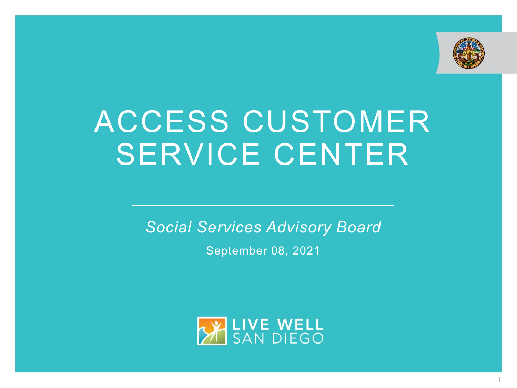

# ACCESS CUSTOMER SERVICE CENTER

*Social Services Advisory Board*

September 08, 2021

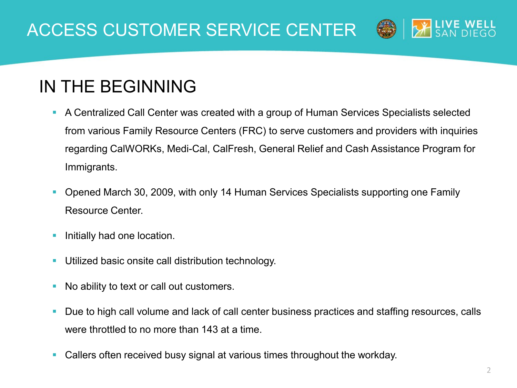

#### IN THE BEGINNING

- A Centralized Call Center was created with a group of Human Services Specialists selected from various Family Resource Centers (FRC) to serve customers and providers with inquiries regarding CalWORKs, Medi-Cal, CalFresh, General Relief and Cash Assistance Program for Immigrants.
- Opened March 30, 2009, with only 14 Human Services Specialists supporting one Family Resource Center.
- Initially had one location.
- Utilized basic onsite call distribution technology.
- No ability to text or call out customers.
- Due to high call volume and lack of call center business practices and staffing resources, calls were throttled to no more than 143 at a time.
- Callers often received busy signal at various times throughout the workday.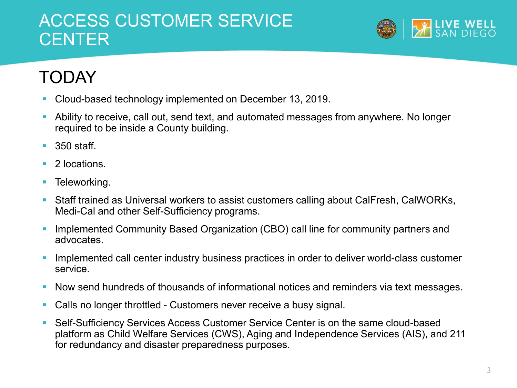#### ACCESS CUSTOMER SERVICE **CENTER**



## TODAY

- Cloud-based technology implemented on December 13, 2019.
- Ability to receive, call out, send text, and automated messages from anywhere. No longer required to be inside a County building.
- $\blacksquare$  350 staff.
- 2 locations.
- **Teleworking.**
- Staff trained as Universal workers to assist customers calling about CalFresh, CalWORKs, Medi-Cal and other Self-Sufficiency programs.
- **Implemented Community Based Organization (CBO) call line for community partners and** advocates.
- **Implemented call center industry business practices in order to deliver world-class customer** service.
- Now send hundreds of thousands of informational notices and reminders via text messages.
- Calls no longer throttled Customers never receive a busy signal.
- Self-Sufficiency Services Access Customer Service Center is on the same cloud-based platform as Child Welfare Services (CWS), Aging and Independence Services (AIS), and 211 for redundancy and disaster preparedness purposes.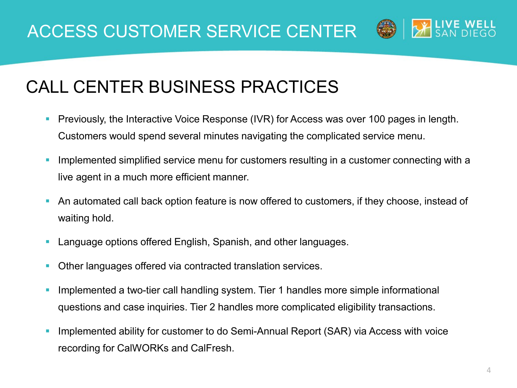

#### CALL CENTER BUSINESS PRACTICES

- **Previously, the Interactive Voice Response (IVR) for Access was over 100 pages in length.** Customers would spend several minutes navigating the complicated service menu.
- Implemented simplified service menu for customers resulting in a customer connecting with a live agent in a much more efficient manner.
- An automated call back option feature is now offered to customers, if they choose, instead of waiting hold.
- **Language options offered English, Spanish, and other languages.**
- **Other languages offered via contracted translation services.**
- Implemented a two-tier call handling system. Tier 1 handles more simple informational questions and case inquiries. Tier 2 handles more complicated eligibility transactions.
- Implemented ability for customer to do Semi-Annual Report (SAR) via Access with voice recording for CalWORKs and CalFresh.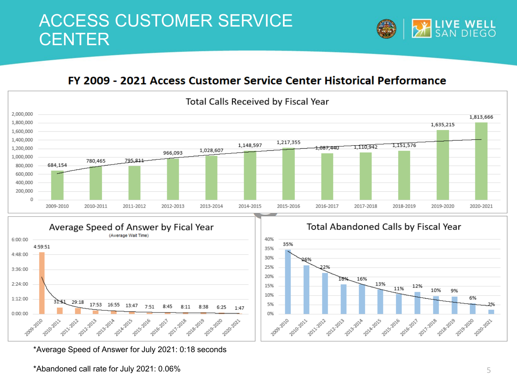

#### FY 2009 - 2021 Access Customer Service Center Historical Performance



\*Average Speed of Answer for July 2021: 0:18 seconds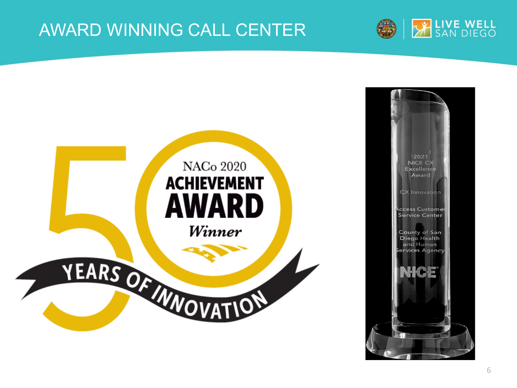#### AWARD WINNING CALL CENTER



SAN DIEGO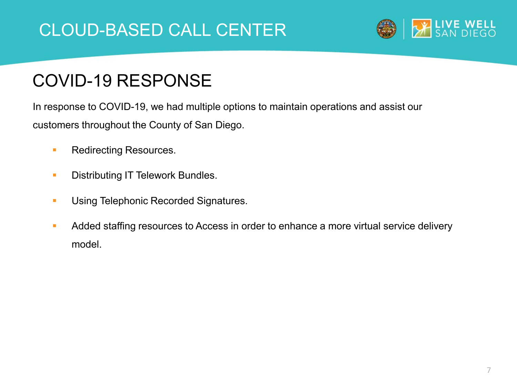#### CLOUD-BASED CALL CENTER



#### COVID-19 RESPONSE

In response to COVID-19, we had multiple options to maintain operations and assist our customers throughout the County of San Diego.

- **Redirecting Resources.**
- **Distributing IT Telework Bundles.**
- **Using Telephonic Recorded Signatures.**
- Added staffing resources to Access in order to enhance a more virtual service delivery model.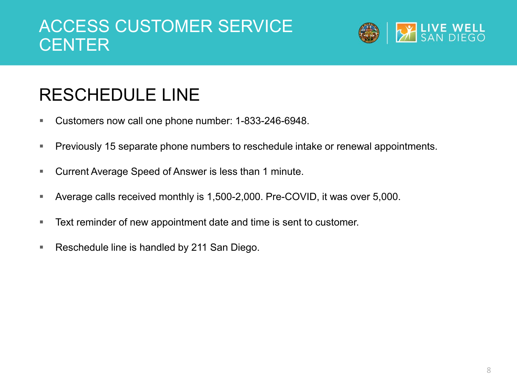#### ACCESS CUSTOMER SERVICE CENTER



### RESCHEDULE LINE

- **Customers now call one phone number: 1-833-246-6948.**
- **Previously 15 separate phone numbers to reschedule intake or renewal appointments.**
- Current Average Speed of Answer is less than 1 minute.
- Average calls received monthly is 1,500-2,000. Pre-COVID, it was over 5,000.
- **Text reminder of new appointment date and time is sent to customer.**
- **Reschedule line is handled by 211 San Diego.**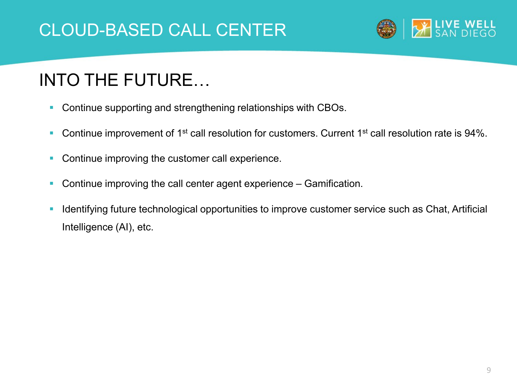

### INTO THE FUTURE…

- **Continue supporting and strengthening relationships with CBOs.**
- Continue improvement of  $1<sup>st</sup>$  call resolution for customers. Current  $1<sup>st</sup>$  call resolution rate is 94%.
- **Continue improving the customer call experience.**
- **Continue improving the call center agent experience Gamification.**
- **Interatively 11 Septem** 1 dentities to the customer service such as Chat, Artificial substitution opportunities to improve customer service such as Chat, Artificial Intelligence (AI), etc.